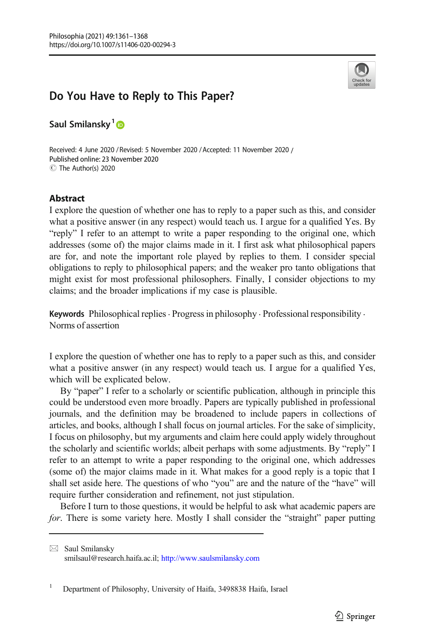

## Do You Have to Reply to This Paper?

Saul Smilansky<sup>1</sup>®

Received: 4 June 2020 / Revised: 5 November 2020 / Accepted: 11 November 2020 / C The Author(s) 2020 Published online: 23 November 2020

## Abstract

I explore the question of whether one has to reply to a paper such as this, and consider what a positive answer (in any respect) would teach us. I argue for a qualified Yes. By "reply" I refer to an attempt to write a paper responding to the original one, which addresses (some of) the major claims made in it. I first ask what philosophical papers are for, and note the important role played by replies to them. I consider special obligations to reply to philosophical papers; and the weaker pro tanto obligations that might exist for most professional philosophers. Finally, I consider objections to my claims; and the broader implications if my case is plausible.

Keywords Philosophical replies · Progress in philosophy · Professional responsibility · Norms of assertion

I explore the question of whether one has to reply to a paper such as this, and consider what a positive answer (in any respect) would teach us. I argue for a qualified Yes, which will be explicated below.

By "paper" I refer to a scholarly or scientific publication, although in principle this could be understood even more broadly. Papers are typically published in professional journals, and the definition may be broadened to include papers in collections of articles, and books, although I shall focus on journal articles. For the sake of simplicity, I focus on philosophy, but my arguments and claim here could apply widely throughout the scholarly and scientific worlds; albeit perhaps with some adjustments. By "reply" I refer to an attempt to write a paper responding to the original one, which addresses (some of) the major claims made in it. What makes for a good reply is a topic that I shall set aside here. The questions of who "you" are and the nature of the "have" will require further consideration and refinement, not just stipulation.

Before I turn to those questions, it would be helpful to ask what academic papers are for. There is some variety here. Mostly I shall consider the "straight" paper putting

 $\boxtimes$  Saul Smilansky [smilsaul@research.haifa.ac.il](mailto:smilsaul@research.haifa.ac.il); <http://www.saulsmilansky.com>

<sup>&</sup>lt;sup>1</sup> Department of Philosophy, University of Haifa, 3498838 Haifa, Israel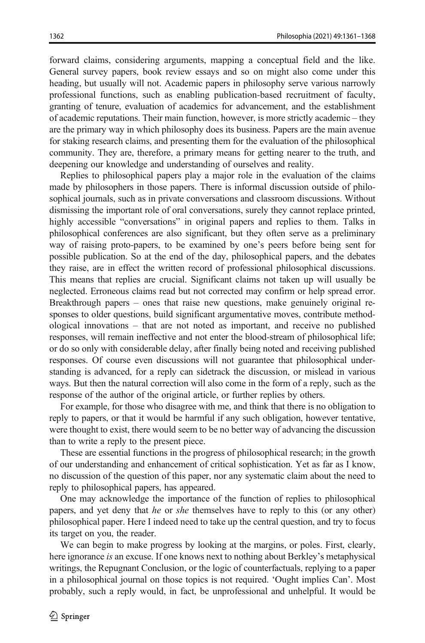forward claims, considering arguments, mapping a conceptual field and the like. General survey papers, book review essays and so on might also come under this heading, but usually will not. Academic papers in philosophy serve various narrowly professional functions, such as enabling publication-based recruitment of faculty, granting of tenure, evaluation of academics for advancement, and the establishment of academic reputations. Their main function, however, is more strictly academic – they are the primary way in which philosophy does its business. Papers are the main avenue for staking research claims, and presenting them for the evaluation of the philosophical community. They are, therefore, a primary means for getting nearer to the truth, and deepening our knowledge and understanding of ourselves and reality.

Replies to philosophical papers play a major role in the evaluation of the claims made by philosophers in those papers. There is informal discussion outside of philosophical journals, such as in private conversations and classroom discussions. Without dismissing the important role of oral conversations, surely they cannot replace printed, highly accessible "conversations" in original papers and replies to them. Talks in philosophical conferences are also significant, but they often serve as a preliminary way of raising proto-papers, to be examined by one's peers before being sent for possible publication. So at the end of the day, philosophical papers, and the debates they raise, are in effect the written record of professional philosophical discussions. This means that replies are crucial. Significant claims not taken up will usually be neglected. Erroneous claims read but not corrected may confirm or help spread error. Breakthrough papers – ones that raise new questions, make genuinely original responses to older questions, build significant argumentative moves, contribute methodological innovations – that are not noted as important, and receive no published responses, will remain ineffective and not enter the blood-stream of philosophical life; or do so only with considerable delay, after finally being noted and receiving published responses. Of course even discussions will not guarantee that philosophical understanding is advanced, for a reply can sidetrack the discussion, or mislead in various ways. But then the natural correction will also come in the form of a reply, such as the response of the author of the original article, or further replies by others.

For example, for those who disagree with me, and think that there is no obligation to reply to papers, or that it would be harmful if any such obligation, however tentative, were thought to exist, there would seem to be no better way of advancing the discussion than to write a reply to the present piece.

These are essential functions in the progress of philosophical research; in the growth of our understanding and enhancement of critical sophistication. Yet as far as I know, no discussion of the question of this paper, nor any systematic claim about the need to reply to philosophical papers, has appeared.

One may acknowledge the importance of the function of replies to philosophical papers, and yet deny that he or she themselves have to reply to this (or any other) philosophical paper. Here I indeed need to take up the central question, and try to focus its target on you, the reader.

We can begin to make progress by looking at the margins, or poles. First, clearly, here ignorance *is* an excuse. If one knows next to nothing about Berkley's metaphysical writings, the Repugnant Conclusion, or the logic of counterfactuals, replying to a paper in a philosophical journal on those topics is not required. 'Ought implies Can'. Most probably, such a reply would, in fact, be unprofessional and unhelpful. It would be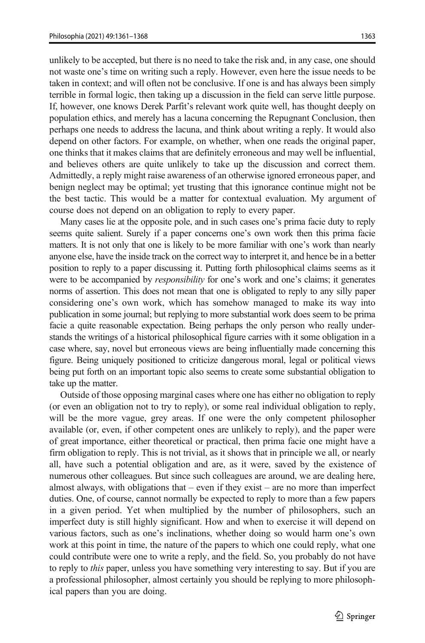unlikely to be accepted, but there is no need to take the risk and, in any case, one should not waste one's time on writing such a reply. However, even here the issue needs to be taken in context; and will often not be conclusive. If one is and has always been simply terrible in formal logic, then taking up a discussion in the field can serve little purpose. If, however, one knows Derek Parfit's relevant work quite well, has thought deeply on population ethics, and merely has a lacuna concerning the Repugnant Conclusion, then perhaps one needs to address the lacuna, and think about writing a reply. It would also depend on other factors. For example, on whether, when one reads the original paper, one thinks that it makes claims that are definitely erroneous and may well be influential, and believes others are quite unlikely to take up the discussion and correct them. Admittedly, a reply might raise awareness of an otherwise ignored erroneous paper, and benign neglect may be optimal; yet trusting that this ignorance continue might not be the best tactic. This would be a matter for contextual evaluation. My argument of course does not depend on an obligation to reply to every paper.

Many cases lie at the opposite pole, and in such cases one's prima facie duty to reply seems quite salient. Surely if a paper concerns one's own work then this prima facie matters. It is not only that one is likely to be more familiar with one's work than nearly anyone else, have the inside track on the correct way to interpret it, and hence be in a better position to reply to a paper discussing it. Putting forth philosophical claims seems as it were to be accompanied by *responsibility* for one's work and one's claims; it generates norms of assertion. This does not mean that one is obligated to reply to any silly paper considering one's own work, which has somehow managed to make its way into publication in some journal; but replying to more substantial work does seem to be prima facie a quite reasonable expectation. Being perhaps the only person who really understands the writings of a historical philosophical figure carries with it some obligation in a case where, say, novel but erroneous views are being influentially made concerning this figure. Being uniquely positioned to criticize dangerous moral, legal or political views being put forth on an important topic also seems to create some substantial obligation to take up the matter.

Outside of those opposing marginal cases where one has either no obligation to reply (or even an obligation not to try to reply), or some real individual obligation to reply, will be the more vague, grey areas. If one were the only competent philosopher available (or, even, if other competent ones are unlikely to reply), and the paper were of great importance, either theoretical or practical, then prima facie one might have a firm obligation to reply. This is not trivial, as it shows that in principle we all, or nearly all, have such a potential obligation and are, as it were, saved by the existence of numerous other colleagues. But since such colleagues are around, we are dealing here, almost always, with obligations that  $-$  even if they exist  $-$  are no more than imperfect duties. One, of course, cannot normally be expected to reply to more than a few papers in a given period. Yet when multiplied by the number of philosophers, such an imperfect duty is still highly significant. How and when to exercise it will depend on various factors, such as one's inclinations, whether doing so would harm one's own work at this point in time, the nature of the papers to which one could reply, what one could contribute were one to write a reply, and the field. So, you probably do not have to reply to *this* paper, unless you have something very interesting to say. But if you are a professional philosopher, almost certainly you should be replying to more philosophical papers than you are doing.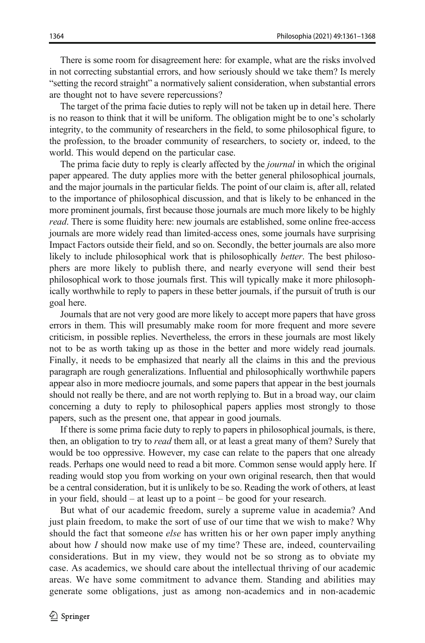There is some room for disagreement here: for example, what are the risks involved in not correcting substantial errors, and how seriously should we take them? Is merely "setting the record straight" a normatively salient consideration, when substantial errors are thought not to have severe repercussions?

The target of the prima facie duties to reply will not be taken up in detail here. There is no reason to think that it will be uniform. The obligation might be to one's scholarly integrity, to the community of researchers in the field, to some philosophical figure, to the profession, to the broader community of researchers, to society or, indeed, to the world. This would depend on the particular case.

The prima facie duty to reply is clearly affected by the *journal* in which the original paper appeared. The duty applies more with the better general philosophical journals, and the major journals in the particular fields. The point of our claim is, after all, related to the importance of philosophical discussion, and that is likely to be enhanced in the more prominent journals, first because those journals are much more likely to be highly read. There is some fluidity here: new journals are established, some online free-access journals are more widely read than limited-access ones, some journals have surprising Impact Factors outside their field, and so on. Secondly, the better journals are also more likely to include philosophical work that is philosophically better. The best philosophers are more likely to publish there, and nearly everyone will send their best philosophical work to those journals first. This will typically make it more philosophically worthwhile to reply to papers in these better journals, if the pursuit of truth is our goal here.

Journals that are not very good are more likely to accept more papers that have gross errors in them. This will presumably make room for more frequent and more severe criticism, in possible replies. Nevertheless, the errors in these journals are most likely not to be as worth taking up as those in the better and more widely read journals. Finally, it needs to be emphasized that nearly all the claims in this and the previous paragraph are rough generalizations. Influential and philosophically worthwhile papers appear also in more mediocre journals, and some papers that appear in the best journals should not really be there, and are not worth replying to. But in a broad way, our claim concerning a duty to reply to philosophical papers applies most strongly to those papers, such as the present one, that appear in good journals.

If there is some prima facie duty to reply to papers in philosophical journals, is there, then, an obligation to try to *read* them all, or at least a great many of them? Surely that would be too oppressive. However, my case can relate to the papers that one already reads. Perhaps one would need to read a bit more. Common sense would apply here. If reading would stop you from working on your own original research, then that would be a central consideration, but it is unlikely to be so. Reading the work of others, at least in your field, should – at least up to a point – be good for your research.

But what of our academic freedom, surely a supreme value in academia? And just plain freedom, to make the sort of use of our time that we wish to make? Why should the fact that someone *else* has written his or her own paper imply anything about how I should now make use of my time? These are, indeed, countervailing considerations. But in my view, they would not be so strong as to obviate my case. As academics, we should care about the intellectual thriving of our academic areas. We have some commitment to advance them. Standing and abilities may generate some obligations, just as among non-academics and in non-academic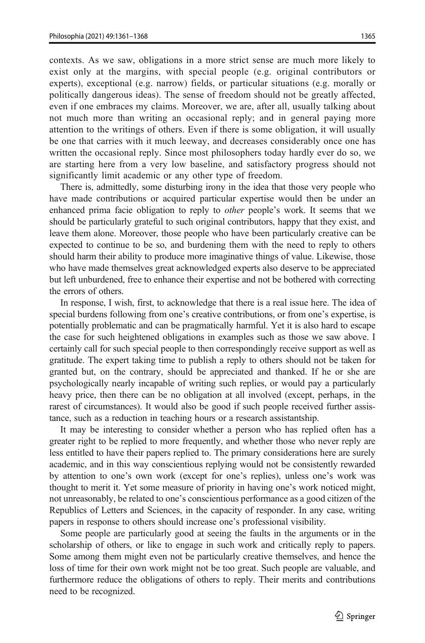contexts. As we saw, obligations in a more strict sense are much more likely to exist only at the margins, with special people (e.g. original contributors or experts), exceptional (e.g. narrow) fields, or particular situations (e.g. morally or politically dangerous ideas). The sense of freedom should not be greatly affected, even if one embraces my claims. Moreover, we are, after all, usually talking about not much more than writing an occasional reply; and in general paying more attention to the writings of others. Even if there is some obligation, it will usually be one that carries with it much leeway, and decreases considerably once one has written the occasional reply. Since most philosophers today hardly ever do so, we are starting here from a very low baseline, and satisfactory progress should not significantly limit academic or any other type of freedom.

There is, admittedly, some disturbing irony in the idea that those very people who have made contributions or acquired particular expertise would then be under an enhanced prima facie obligation to reply to *other* people's work. It seems that we should be particularly grateful to such original contributors, happy that they exist, and leave them alone. Moreover, those people who have been particularly creative can be expected to continue to be so, and burdening them with the need to reply to others should harm their ability to produce more imaginative things of value. Likewise, those who have made themselves great acknowledged experts also deserve to be appreciated but left unburdened, free to enhance their expertise and not be bothered with correcting the errors of others.

In response, I wish, first, to acknowledge that there is a real issue here. The idea of special burdens following from one's creative contributions, or from one's expertise, is potentially problematic and can be pragmatically harmful. Yet it is also hard to escape the case for such heightened obligations in examples such as those we saw above. I certainly call for such special people to then correspondingly receive support as well as gratitude. The expert taking time to publish a reply to others should not be taken for granted but, on the contrary, should be appreciated and thanked. If he or she are psychologically nearly incapable of writing such replies, or would pay a particularly heavy price, then there can be no obligation at all involved (except, perhaps, in the rarest of circumstances). It would also be good if such people received further assistance, such as a reduction in teaching hours or a research assistantship.

It may be interesting to consider whether a person who has replied often has a greater right to be replied to more frequently, and whether those who never reply are less entitled to have their papers replied to. The primary considerations here are surely academic, and in this way conscientious replying would not be consistently rewarded by attention to one's own work (except for one's replies), unless one's work was thought to merit it. Yet some measure of priority in having one's work noticed might, not unreasonably, be related to one's conscientious performance as a good citizen of the Republics of Letters and Sciences, in the capacity of responder. In any case, writing papers in response to others should increase one's professional visibility.

Some people are particularly good at seeing the faults in the arguments or in the scholarship of others, or like to engage in such work and critically reply to papers. Some among them might even not be particularly creative themselves, and hence the loss of time for their own work might not be too great. Such people are valuable, and furthermore reduce the obligations of others to reply. Their merits and contributions need to be recognized.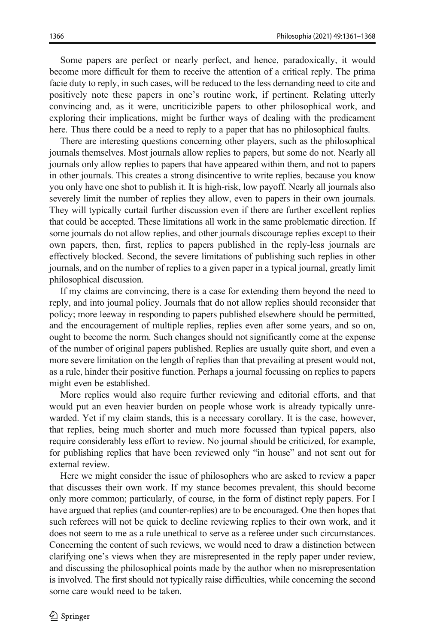Some papers are perfect or nearly perfect, and hence, paradoxically, it would become more difficult for them to receive the attention of a critical reply. The prima facie duty to reply, in such cases, will be reduced to the less demanding need to cite and positively note these papers in one's routine work, if pertinent. Relating utterly convincing and, as it were, uncriticizible papers to other philosophical work, and exploring their implications, might be further ways of dealing with the predicament here. Thus there could be a need to reply to a paper that has no philosophical faults.

There are interesting questions concerning other players, such as the philosophical journals themselves. Most journals allow replies to papers, but some do not. Nearly all journals only allow replies to papers that have appeared within them, and not to papers in other journals. This creates a strong disincentive to write replies, because you know you only have one shot to publish it. It is high-risk, low payoff. Nearly all journals also severely limit the number of replies they allow, even to papers in their own journals. They will typically curtail further discussion even if there are further excellent replies that could be accepted. These limitations all work in the same problematic direction. If some journals do not allow replies, and other journals discourage replies except to their own papers, then, first, replies to papers published in the reply-less journals are effectively blocked. Second, the severe limitations of publishing such replies in other journals, and on the number of replies to a given paper in a typical journal, greatly limit philosophical discussion.

If my claims are convincing, there is a case for extending them beyond the need to reply, and into journal policy. Journals that do not allow replies should reconsider that policy; more leeway in responding to papers published elsewhere should be permitted, and the encouragement of multiple replies, replies even after some years, and so on, ought to become the norm. Such changes should not significantly come at the expense of the number of original papers published. Replies are usually quite short, and even a more severe limitation on the length of replies than that prevailing at present would not, as a rule, hinder their positive function. Perhaps a journal focussing on replies to papers might even be established.

More replies would also require further reviewing and editorial efforts, and that would put an even heavier burden on people whose work is already typically unrewarded. Yet if my claim stands, this is a necessary corollary. It is the case, however, that replies, being much shorter and much more focussed than typical papers, also require considerably less effort to review. No journal should be criticized, for example, for publishing replies that have been reviewed only "in house" and not sent out for external review.

Here we might consider the issue of philosophers who are asked to review a paper that discusses their own work. If my stance becomes prevalent, this should become only more common; particularly, of course, in the form of distinct reply papers. For I have argued that replies (and counter-replies) are to be encouraged. One then hopes that such referees will not be quick to decline reviewing replies to their own work, and it does not seem to me as a rule unethical to serve as a referee under such circumstances. Concerning the content of such reviews, we would need to draw a distinction between clarifying one's views when they are misrepresented in the reply paper under review, and discussing the philosophical points made by the author when no misrepresentation is involved. The first should not typically raise difficulties, while concerning the second some care would need to be taken.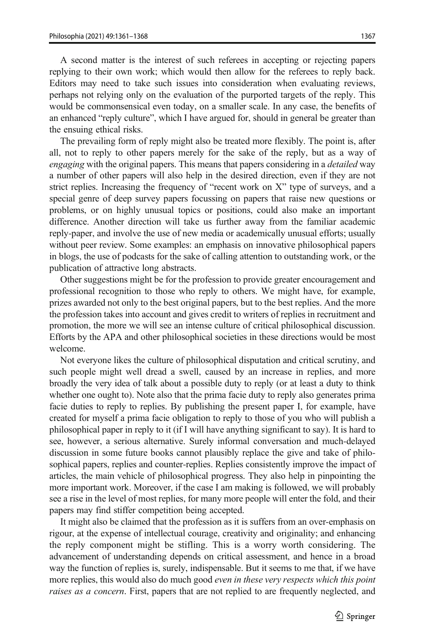A second matter is the interest of such referees in accepting or rejecting papers replying to their own work; which would then allow for the referees to reply back. Editors may need to take such issues into consideration when evaluating reviews, perhaps not relying only on the evaluation of the purported targets of the reply. This would be commonsensical even today, on a smaller scale. In any case, the benefits of an enhanced "reply culture", which I have argued for, should in general be greater than the ensuing ethical risks.

The prevailing form of reply might also be treated more flexibly. The point is, after all, not to reply to other papers merely for the sake of the reply, but as a way of engaging with the original papers. This means that papers considering in a *detailed* way a number of other papers will also help in the desired direction, even if they are not strict replies. Increasing the frequency of "recent work on X" type of surveys, and a special genre of deep survey papers focussing on papers that raise new questions or problems, or on highly unusual topics or positions, could also make an important difference. Another direction will take us further away from the familiar academic reply-paper, and involve the use of new media or academically unusual efforts; usually without peer review. Some examples: an emphasis on innovative philosophical papers in blogs, the use of podcasts for the sake of calling attention to outstanding work, or the publication of attractive long abstracts.

Other suggestions might be for the profession to provide greater encouragement and professional recognition to those who reply to others. We might have, for example, prizes awarded not only to the best original papers, but to the best replies. And the more the profession takes into account and gives credit to writers of replies in recruitment and promotion, the more we will see an intense culture of critical philosophical discussion. Efforts by the APA and other philosophical societies in these directions would be most welcome.

Not everyone likes the culture of philosophical disputation and critical scrutiny, and such people might well dread a swell, caused by an increase in replies, and more broadly the very idea of talk about a possible duty to reply (or at least a duty to think whether one ought to). Note also that the prima facie duty to reply also generates prima facie duties to reply to replies. By publishing the present paper I, for example, have created for myself a prima facie obligation to reply to those of you who will publish a philosophical paper in reply to it (if I will have anything significant to say). It is hard to see, however, a serious alternative. Surely informal conversation and much-delayed discussion in some future books cannot plausibly replace the give and take of philosophical papers, replies and counter-replies. Replies consistently improve the impact of articles, the main vehicle of philosophical progress. They also help in pinpointing the more important work. Moreover, if the case I am making is followed, we will probably see a rise in the level of most replies, for many more people will enter the fold, and their papers may find stiffer competition being accepted.

It might also be claimed that the profession as it is suffers from an over-emphasis on rigour, at the expense of intellectual courage, creativity and originality; and enhancing the reply component might be stifling. This is a worry worth considering. The advancement of understanding depends on critical assessment, and hence in a broad way the function of replies is, surely, indispensable. But it seems to me that, if we have more replies, this would also do much good *even in these very respects which this point* raises as a concern. First, papers that are not replied to are frequently neglected, and